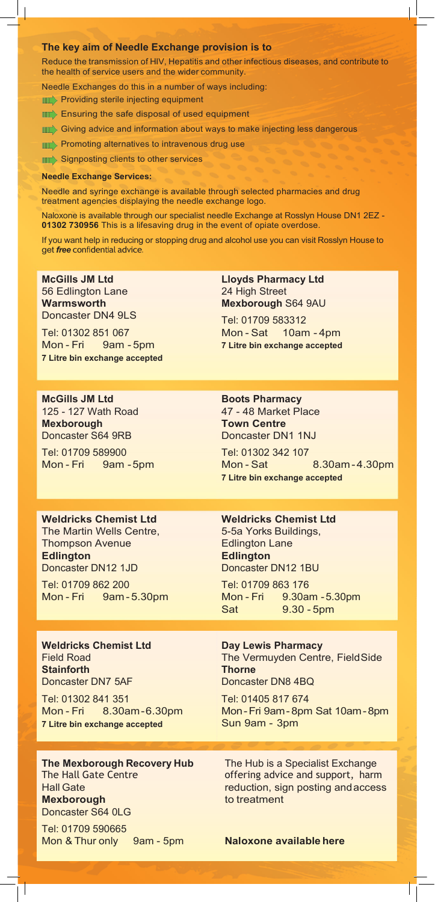#### **The key aim of Needle Exchange provision is to**

Reduce the transmission of HIV, Hepatitis and other infectious diseases, and contribute to the health of service users and the wider community.

Needle Exchanges do this in a number of ways including:

**MIC**> Providing sterile injecting equipment

**III** Ensuring the safe disposal of used equipment

**IIII** Giving advice and information about ways to make injecting less dangerous

**MEXT**> Promoting alternatives to intravenous drug use

**MILE** Signposting clients to other services

#### **Needle Exchange Services:**

Needle and syringe exchange is available through selected pharmacies and drug treatment agencies displaying the needle exchange logo.

Naloxone is available through our specialist needle Exchange at Rosslyn House DN1 2EZ - **01302 730956** This is a lifesaving drug in the event of opiate overdose.

If you want help in reducing or stopping drug and alcohol use you can visit Rosslyn House to get *free* confidential advice.

**McGills JM Ltd** 56 Edlington Lane **Warmsworth**  Doncaster DN4 9LS

Tel: 01302 851 067 Mon - Fri 9am - 5pm **7 Litre bin exchange accepted** **Lloyds Pharmacy Ltd**  24 High Street **Mexborough** S64 9AU

Tel: 01709 583312 Mon - Sat 10am - 4pm **7 Litre bin exchange accepted**

**McGills JM Ltd** 125 - 127 Wath Road **Mexborough**  Doncaster S64 9RB

Tel: 01709 589900 Mon - Fri 9am - 5pm

### **Boots Pharmacy** 47 - 48 Market Place **Town Centre**  Doncaster DN1 1NJ

Tel: 01302 342 107 Mon - Sat 8.30am - 4.30pm **7 Litre bin exchange accepted**

#### **Weldricks Chemist Ltd**

The Martin Wells Centre, Thompson Avenue **Edlington** Doncaster DN12 1JD

Tel: 01709 862 200 Mon - Fri 9am - 5.30pm

#### **Weldricks Chemist Ltd** Field Road **Stainforth**  Doncaster DN7 5AF

Tel: 01302 841 351 Mon - Fri 8.30am-6.30pm **7 Litre bin exchange accepted**

**Mexborough** to treatment Doncaster S64 0LG

Tel: 01709 590665 Mon & Thur only 9am - 5pm **Naloxone available here**

#### **Weldricks Chemist Ltd**

5-5a Yorks Buildings, Edlington Lane **Edlington** Doncaster DN12 1BU

Tel: 01709 863 176 Mon - Fri 9.30am -5.30pm Sat 9.30 - 5pm

### **Day Lewis Pharmacy** The Vermuyden Centre, FieldSide **Thorne** Doncaster DN8 4BQ

Tel: 01405 817 674 Mon-Fri 9am- 8pm Sat 10am-8pm Sun 9am - 3pm

**The Mexborough Recovery Hub** The Hub is a Specialist Exchange The Hall Gate Centre **offering advice and support**, harm Hall Gate reduction, sign posting and access